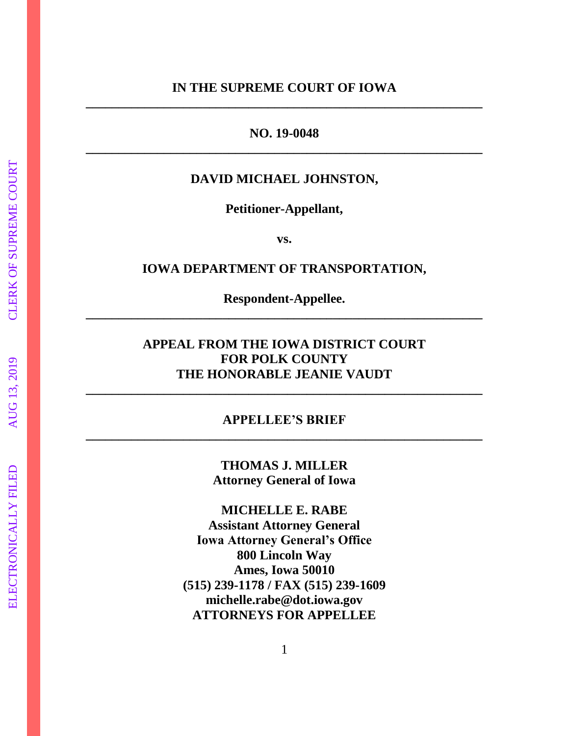### **IN THE SUPREME COURT OF IOWA \_\_\_\_\_\_\_\_\_\_\_\_\_\_\_\_\_\_\_\_\_\_\_\_\_\_\_\_\_\_\_\_\_\_\_\_\_\_\_\_\_\_\_\_\_\_\_\_\_\_\_\_\_\_\_\_\_\_\_\_\_**

### **NO. 19-0048 \_\_\_\_\_\_\_\_\_\_\_\_\_\_\_\_\_\_\_\_\_\_\_\_\_\_\_\_\_\_\_\_\_\_\_\_\_\_\_\_\_\_\_\_\_\_\_\_\_\_\_\_\_\_\_\_\_\_\_\_\_**

### **DAVID MICHAEL JOHNSTON,**

**Petitioner-Appellant,** 

**vs.**

### **IOWA DEPARTMENT OF TRANSPORTATION,**

**Respondent-Appellee. \_\_\_\_\_\_\_\_\_\_\_\_\_\_\_\_\_\_\_\_\_\_\_\_\_\_\_\_\_\_\_\_\_\_\_\_\_\_\_\_\_\_\_\_\_\_\_\_\_\_\_\_\_\_\_\_\_\_\_\_\_**

### **APPEAL FROM THE IOWA DISTRICT COURT FOR POLK COUNTY THE HONORABLE JEANIE VAUDT**

### **APPELLEE'S BRIEF \_\_\_\_\_\_\_\_\_\_\_\_\_\_\_\_\_\_\_\_\_\_\_\_\_\_\_\_\_\_\_\_\_\_\_\_\_\_\_\_\_\_\_\_\_\_\_\_\_\_\_\_\_\_\_\_\_\_\_\_\_**

**\_\_\_\_\_\_\_\_\_\_\_\_\_\_\_\_\_\_\_\_\_\_\_\_\_\_\_\_\_\_\_\_\_\_\_\_\_\_\_\_\_\_\_\_\_\_\_\_\_\_\_\_\_\_\_\_\_\_\_\_\_**

**THOMAS J. MILLER Attorney General of Iowa**

**MICHELLE E. RABE Assistant Attorney General Iowa Attorney General's Office 800 Lincoln Way Ames, Iowa 50010 (515) 239-1178 / FAX (515) 239-1609 michelle.rabe@dot.iowa.gov ATTORNEYS FOR APPELLEE**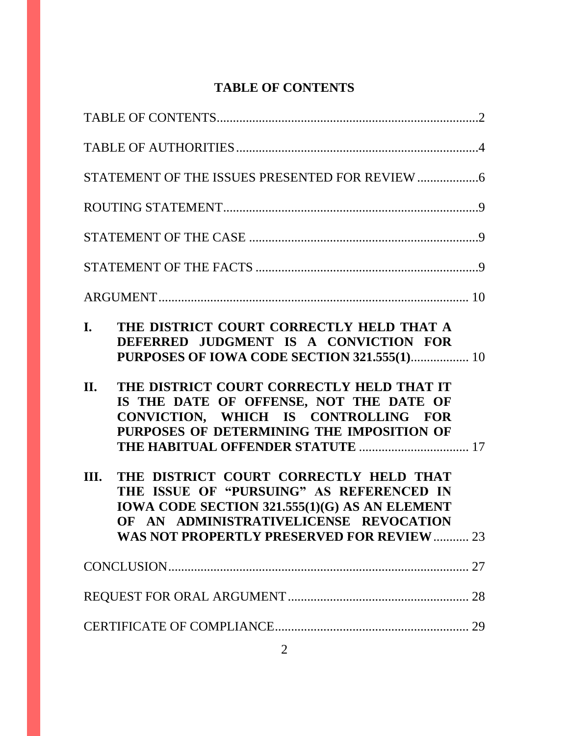# **TABLE OF CONTENTS**

| I.   | THE DISTRICT COURT CORRECTLY HELD THAT A<br>DEFERRED JUDGMENT IS A CONVICTION FOR<br>PURPOSES OF IOWA CODE SECTION 321.555(1) 10                                          |  |
|------|---------------------------------------------------------------------------------------------------------------------------------------------------------------------------|--|
| II.  | THE DISTRICT COURT CORRECTLY HELD THAT IT<br>IS THE DATE OF OFFENSE, NOT THE DATE OF<br>CONVICTION, WHICH IS CONTROLLING FOR<br>PURPOSES OF DETERMINING THE IMPOSITION OF |  |
| III. | THE DISTRICT COURT CORRECTLY HELD THAT<br>THE ISSUE OF "PURSUING" AS REFERENCED IN                                                                                        |  |
|      | IOWA CODE SECTION 321.555(1)(G) AS AN ELEMENT<br>OF AN ADMINISTRATIVELICENSE REVOCATION<br><b>WAS NOT PROPERTLY PRESERVED FOR REVIEW  23</b>                              |  |
|      |                                                                                                                                                                           |  |
|      |                                                                                                                                                                           |  |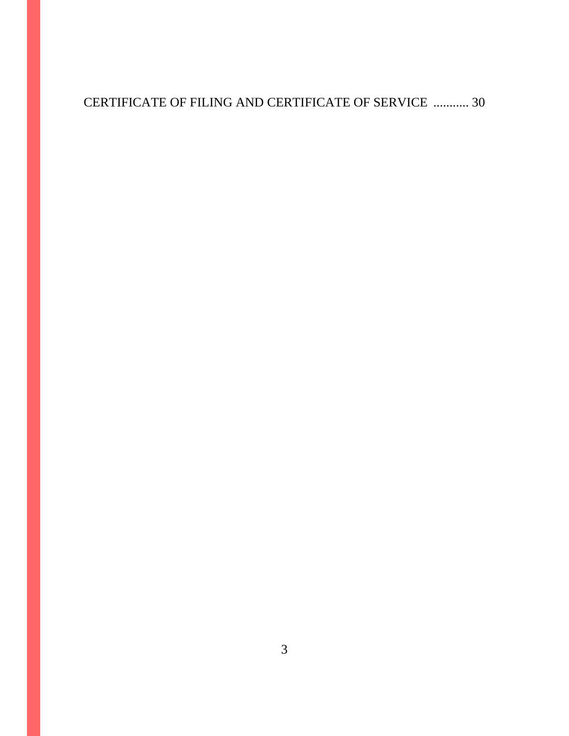# CERTIFICATE OF FILING AND CERTIFICATE OF SERVICE ........... 30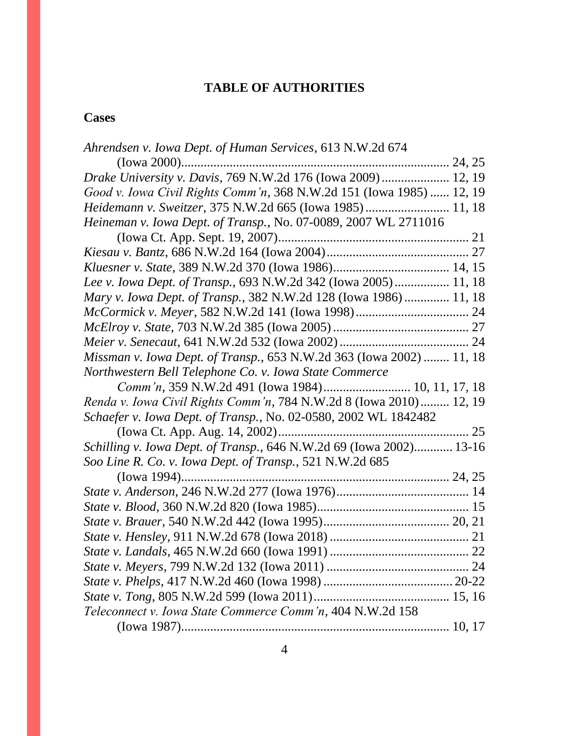## **TABLE OF AUTHORITIES**

## **Cases**

| Ahrendsen v. Iowa Dept. of Human Services, 613 N.W.2d 674            |  |
|----------------------------------------------------------------------|--|
|                                                                      |  |
| Drake University v. Davis, 769 N.W.2d 176 (Iowa 2009) 12, 19         |  |
| Good v. Iowa Civil Rights Comm'n, 368 N.W.2d 151 (Iowa 1985)  12, 19 |  |
| Heidemann v. Sweitzer, 375 N.W.2d 665 (Iowa 1985)  11, 18            |  |
| Heineman v. Iowa Dept. of Transp., No. 07-0089, 2007 WL 2711016      |  |
|                                                                      |  |
|                                                                      |  |
|                                                                      |  |
| Lee v. Iowa Dept. of Transp., 693 N.W.2d 342 (Iowa 2005) 11, 18      |  |
| Mary v. Iowa Dept. of Transp., 382 N.W.2d 128 (Iowa 1986) 11, 18     |  |
|                                                                      |  |
|                                                                      |  |
|                                                                      |  |
| Missman v. Iowa Dept. of Transp., 653 N.W.2d 363 (Iowa 2002)  11, 18 |  |
| Northwestern Bell Telephone Co. v. Iowa State Commerce               |  |
| Comm'n, 359 N.W.2d 491 (Iowa 1984) 10, 11, 17, 18                    |  |
| Renda v. Iowa Civil Rights Comm'n, 784 N.W.2d 8 (Iowa 2010) 12, 19   |  |
| Schaefer v. Iowa Dept. of Transp., No. 02-0580, 2002 WL 1842482      |  |
|                                                                      |  |
| Schilling v. Iowa Dept. of Transp., 646 N.W.2d 69 (Iowa 2002) 13-16  |  |
| Soo Line R. Co. v. Iowa Dept. of Transp., 521 N.W.2d 685             |  |
|                                                                      |  |
|                                                                      |  |
|                                                                      |  |
|                                                                      |  |
|                                                                      |  |
|                                                                      |  |
|                                                                      |  |
|                                                                      |  |
|                                                                      |  |
| Teleconnect v. Iowa State Commerce Comm'n, 404 N.W.2d 158            |  |
|                                                                      |  |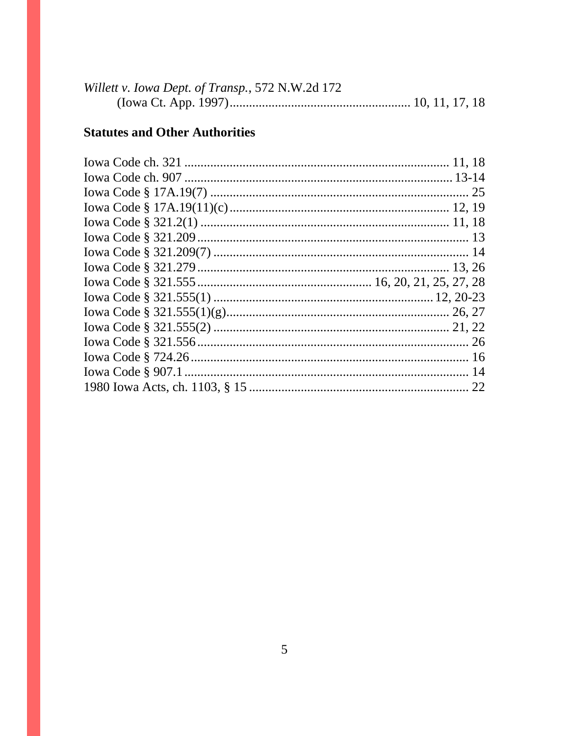| Willett v. Iowa Dept. of Transp., 572 N.W.2d 172 |  |  |
|--------------------------------------------------|--|--|
|                                                  |  |  |

# **Statutes and Other Authorities**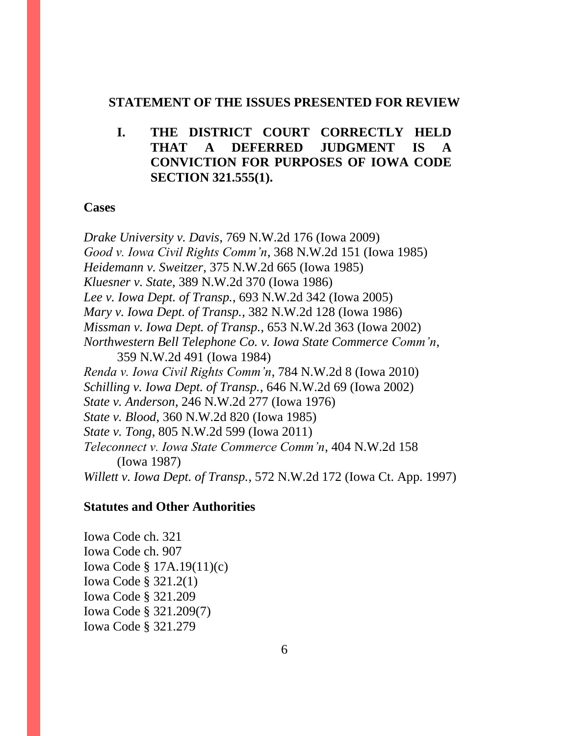#### **STATEMENT OF THE ISSUES PRESENTED FOR REVIEW**

### **I. THE DISTRICT COURT CORRECTLY HELD THAT A DEFERRED JUDGMENT IS A CONVICTION FOR PURPOSES OF IOWA CODE SECTION 321.555(1).**

#### **Cases**

*Drake University v. Davis*, 769 N.W.2d 176 (Iowa 2009) *Good v. Iowa Civil Rights Comm'n*, 368 N.W.2d 151 (Iowa 1985) *Heidemann v. Sweitzer*, 375 N.W.2d 665 (Iowa 1985) *Kluesner v. State*, 389 N.W.2d 370 (Iowa 1986) *Lee v. Iowa Dept. of Transp.*, 693 N.W.2d 342 (Iowa 2005) *Mary v. Iowa Dept. of Transp.*, 382 N.W.2d 128 (Iowa 1986) *Missman v. Iowa Dept. of Transp.*, 653 N.W.2d 363 (Iowa 2002) *Northwestern Bell Telephone Co. v. Iowa State Commerce Comm'n*, 359 N.W.2d 491 (Iowa 1984) *Renda v. Iowa Civil Rights Comm'n*, 784 N.W.2d 8 (Iowa 2010) *Schilling v. Iowa Dept. of Transp.*, 646 N.W.2d 69 (Iowa 2002) *State v. Anderson*, 246 N.W.2d 277 (Iowa 1976) *State v. Blood*, 360 N.W.2d 820 (Iowa 1985) *State v. Tong*, 805 N.W.2d 599 (Iowa 2011) *Teleconnect v. Iowa State Commerce Comm'n*, 404 N.W.2d 158 (Iowa 1987) *Willett v. Iowa Dept. of Transp.*, 572 N.W.2d 172 (Iowa Ct. App. 1997)

### **Statutes and Other Authorities**

Iowa Code ch. 321 Iowa Code ch. 907 Iowa Code § 17A.19(11)(c) Iowa Code § 321.2(1) Iowa Code § 321.209 Iowa Code § 321.209(7) Iowa Code § 321.279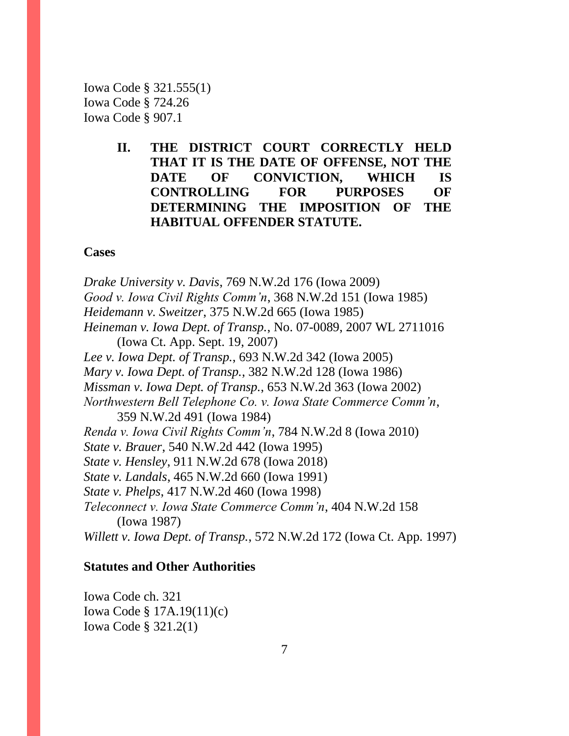Iowa Code § 321.555(1) Iowa Code § 724.26 Iowa Code § 907.1

> **II. THE DISTRICT COURT CORRECTLY HELD THAT IT IS THE DATE OF OFFENSE, NOT THE DATE OF CONVICTION, WHICH IS CONTROLLING FOR PURPOSES OF DETERMINING THE IMPOSITION OF THE HABITUAL OFFENDER STATUTE.**

#### **Cases**

*Drake University v. Davis*, 769 N.W.2d 176 (Iowa 2009) *Good v. Iowa Civil Rights Comm'n*, 368 N.W.2d 151 (Iowa 1985) *Heidemann v. Sweitzer*, 375 N.W.2d 665 (Iowa 1985) *Heineman v. Iowa Dept. of Transp.*, No. 07-0089, 2007 WL 2711016 (Iowa Ct. App. Sept. 19, 2007) *Lee v. Iowa Dept. of Transp.*, 693 N.W.2d 342 (Iowa 2005) *Mary v. Iowa Dept. of Transp.*, 382 N.W.2d 128 (Iowa 1986) *Missman v. Iowa Dept. of Transp.*, 653 N.W.2d 363 (Iowa 2002) *Northwestern Bell Telephone Co. v. Iowa State Commerce Comm'n*, 359 N.W.2d 491 (Iowa 1984) *Renda v. Iowa Civil Rights Comm'n*, 784 N.W.2d 8 (Iowa 2010) *State v. Brauer*, 540 N.W.2d 442 (Iowa 1995) *State v. Hensley*, 911 N.W.2d 678 (Iowa 2018) *State v. Landals*, 465 N.W.2d 660 (Iowa 1991) *State v. Phelps*, 417 N.W.2d 460 (Iowa 1998) *Teleconnect v. Iowa State Commerce Comm'n*, 404 N.W.2d 158 (Iowa 1987) *Willett v. Iowa Dept. of Transp.*, 572 N.W.2d 172 (Iowa Ct. App. 1997)

### **Statutes and Other Authorities**

Iowa Code ch. 321 Iowa Code § 17A.19(11)(c) Iowa Code § 321.2(1)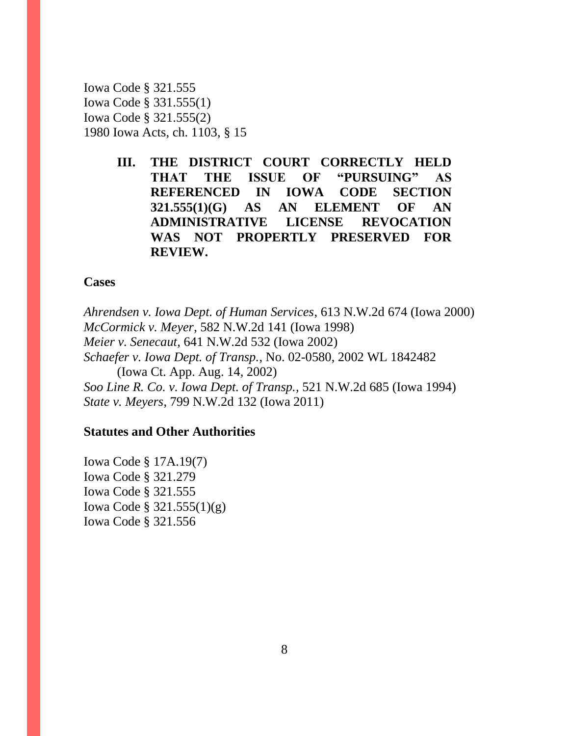Iowa Code § 321.555 Iowa Code § 331.555(1) Iowa Code § 321.555(2) 1980 Iowa Acts, ch. 1103, § 15

> **III. THE DISTRICT COURT CORRECTLY HELD THAT THE ISSUE OF "PURSUING" AS REFERENCED IN IOWA CODE SECTION 321.555(1)(G) AS AN ELEMENT OF AN ADMINISTRATIVE LICENSE REVOCATION WAS NOT PROPERTLY PRESERVED FOR REVIEW.**

### **Cases**

*Ahrendsen v. Iowa Dept. of Human Services*, 613 N.W.2d 674 (Iowa 2000) *McCormick v. Meyer*, 582 N.W.2d 141 (Iowa 1998) *Meier v. Senecaut*, 641 N.W.2d 532 (Iowa 2002) *Schaefer v. Iowa Dept. of Transp.*, No. 02-0580, 2002 WL 1842482 (Iowa Ct. App. Aug. 14, 2002) *Soo Line R. Co. v. Iowa Dept. of Transp.*, 521 N.W.2d 685 (Iowa 1994) *State v. Meyers*, 799 N.W.2d 132 (Iowa 2011)

### **Statutes and Other Authorities**

Iowa Code § 17A.19(7) Iowa Code § 321.279 Iowa Code § 321.555 Iowa Code § 321.555(1)(g) Iowa Code § 321.556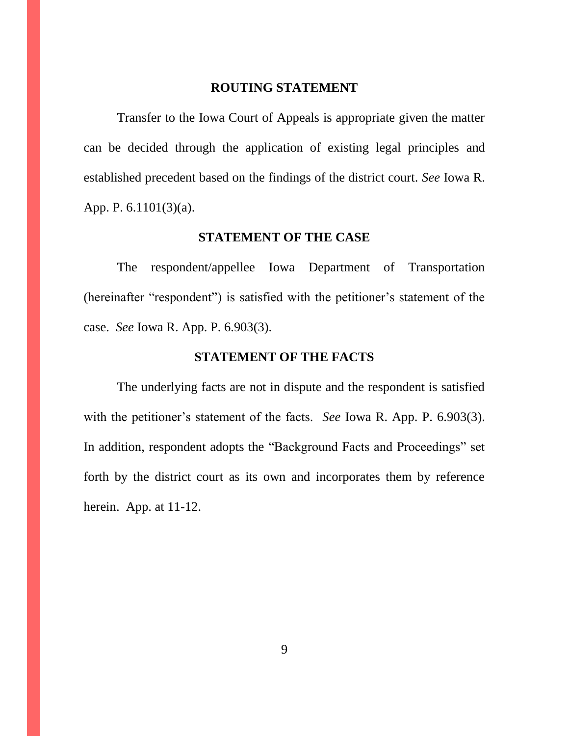### **ROUTING STATEMENT**

Transfer to the Iowa Court of Appeals is appropriate given the matter can be decided through the application of existing legal principles and established precedent based on the findings of the district court. *See* Iowa R. App. P. 6.1101(3)(a).

### **STATEMENT OF THE CASE**

The respondent/appellee Iowa Department of Transportation (hereinafter "respondent") is satisfied with the petitioner's statement of the case. *See* Iowa R. App. P. 6.903(3).

### **STATEMENT OF THE FACTS**

The underlying facts are not in dispute and the respondent is satisfied with the petitioner's statement of the facts. *See* Iowa R. App. P. 6.903(3). In addition, respondent adopts the "Background Facts and Proceedings" set forth by the district court as its own and incorporates them by reference herein. App. at 11-12.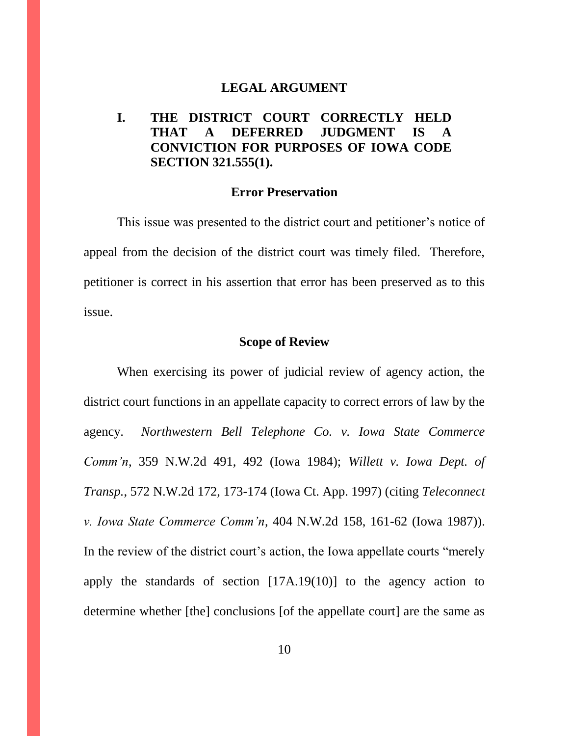### **LEGAL ARGUMENT**

### **I. THE DISTRICT COURT CORRECTLY HELD THAT A DEFERRED JUDGMENT IS CONVICTION FOR PURPOSES OF IOWA CODE SECTION 321.555(1).**

#### **Error Preservation**

This issue was presented to the district court and petitioner's notice of appeal from the decision of the district court was timely filed. Therefore, petitioner is correct in his assertion that error has been preserved as to this issue.

#### **Scope of Review**

When exercising its power of judicial review of agency action, the district court functions in an appellate capacity to correct errors of law by the agency. *Northwestern Bell Telephone Co. v. Iowa State Commerce Comm'n*, 359 N.W.2d 491, 492 (Iowa 1984); *Willett v. Iowa Dept. of Transp.*, 572 N.W.2d 172, 173-174 (Iowa Ct. App. 1997) (citing *Teleconnect v. Iowa State Commerce Comm'n*, 404 N.W.2d 158, 161-62 (Iowa 1987)). In the review of the district court's action, the Iowa appellate courts "merely apply the standards of section [17A.19(10)] to the agency action to determine whether [the] conclusions [of the appellate court] are the same as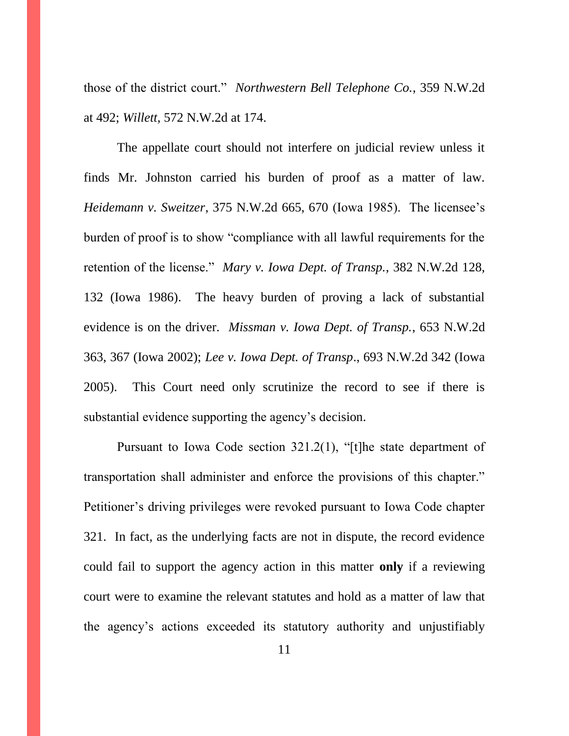those of the district court." *Northwestern Bell Telephone Co.*, 359 N.W.2d at 492; *Willett*, 572 N.W.2d at 174.

The appellate court should not interfere on judicial review unless it finds Mr. Johnston carried his burden of proof as a matter of law. *Heidemann v. Sweitzer*, 375 N.W.2d 665, 670 (Iowa 1985). The licensee's burden of proof is to show "compliance with all lawful requirements for the retention of the license." *Mary v. Iowa Dept. of Transp.*, 382 N.W.2d 128, 132 (Iowa 1986). The heavy burden of proving a lack of substantial evidence is on the driver. *Missman v. Iowa Dept. of Transp.*, 653 N.W.2d 363, 367 (Iowa 2002); *Lee v. Iowa Dept. of Transp*., 693 N.W.2d 342 (Iowa 2005).This Court need only scrutinize the record to see if there is substantial evidence supporting the agency's decision.

Pursuant to Iowa Code section 321.2(1), "[t]he state department of transportation shall administer and enforce the provisions of this chapter." Petitioner's driving privileges were revoked pursuant to Iowa Code chapter 321. In fact, as the underlying facts are not in dispute, the record evidence could fail to support the agency action in this matter **only** if a reviewing court were to examine the relevant statutes and hold as a matter of law that the agency's actions exceeded its statutory authority and unjustifiably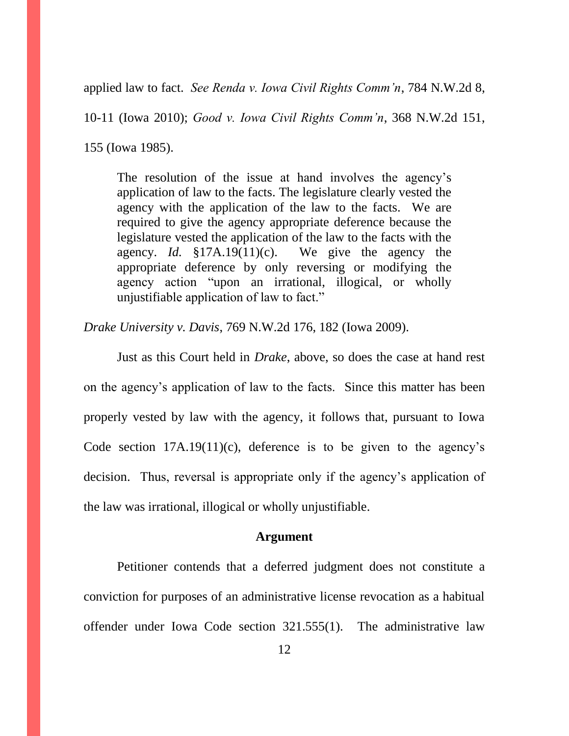applied law to fact. *See Renda v. Iowa Civil Rights Comm'n*, 784 N.W.2d 8,

10-11 (Iowa 2010); *Good v. Iowa Civil Rights Comm'n*, 368 N.W.2d 151,

155 (Iowa 1985).

The resolution of the issue at hand involves the agency's application of law to the facts. The legislature clearly vested the agency with the application of the law to the facts. We are required to give the agency appropriate deference because the legislature vested the application of the law to the facts with the agency. *Id.* §17A.19(11)(c). We give the agency the appropriate deference by only reversing or modifying the agency action "upon an irrational, illogical, or wholly unjustifiable application of law to fact."

*Drake University v. Davis*, 769 N.W.2d 176, 182 (Iowa 2009).

Just as this Court held in *Drake*, above, so does the case at hand rest on the agency's application of law to the facts. Since this matter has been properly vested by law with the agency, it follows that, pursuant to Iowa Code section  $17A.19(11)(c)$ , deference is to be given to the agency's decision. Thus, reversal is appropriate only if the agency's application of the law was irrational, illogical or wholly unjustifiable.

### **Argument**

Petitioner contends that a deferred judgment does not constitute a conviction for purposes of an administrative license revocation as a habitual offender under Iowa Code section 321.555(1). The administrative law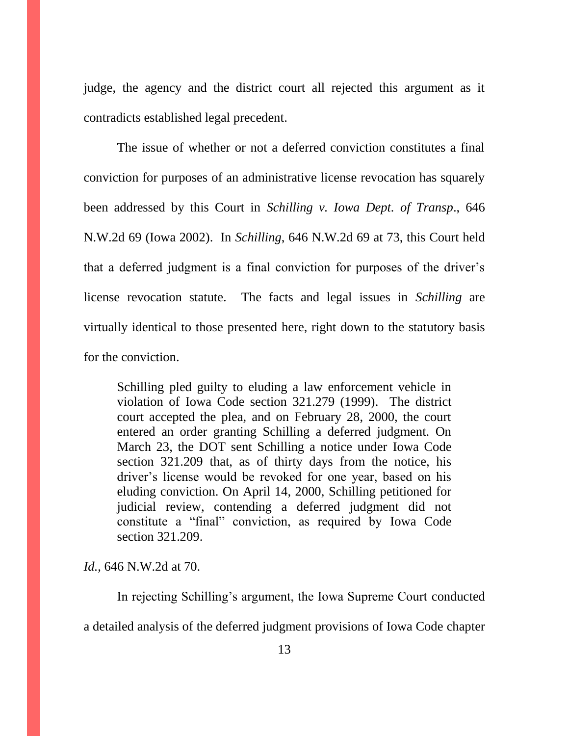judge, the agency and the district court all rejected this argument as it contradicts established legal precedent.

The issue of whether or not a deferred conviction constitutes a final conviction for purposes of an administrative license revocation has squarely been addressed by this Court in *Schilling v. Iowa Dept. of Transp*., 646 N.W.2d 69 (Iowa 2002). In *Schilling*, 646 N.W.2d 69 at 73, this Court held that a deferred judgment is a final conviction for purposes of the driver's license revocation statute. The facts and legal issues in *Schilling* are virtually identical to those presented here, right down to the statutory basis for the conviction.

Schilling pled guilty to eluding a law enforcement vehicle in violation of [Iowa Code section 321.279 \(1999\).](https://1.next.westlaw.com/Link/Document/FullText?findType=L&pubNum=1000256&cite=IASTS321.279&originatingDoc=I598a14abff2311d983e7e9deff98dc6f&refType=LQ&originationContext=document&transitionType=DocumentItem&contextData=(sc.RelatedInfo)) The district court accepted the plea, and on February 28, 2000, the court entered an order granting Schilling a deferred judgment. On March 23, the DOT sent Schilling a notice under [Iowa Code](https://1.next.westlaw.com/Link/Document/FullText?findType=L&pubNum=1000256&cite=IASTS321.209&originatingDoc=I598a14abff2311d983e7e9deff98dc6f&refType=LQ&originationContext=document&transitionType=DocumentItem&contextData=(sc.RelatedInfo))  [section 321.209](https://1.next.westlaw.com/Link/Document/FullText?findType=L&pubNum=1000256&cite=IASTS321.209&originatingDoc=I598a14abff2311d983e7e9deff98dc6f&refType=LQ&originationContext=document&transitionType=DocumentItem&contextData=(sc.RelatedInfo)) that, as of thirty days from the notice, his driver's license would be revoked for one year, based on his eluding conviction. On April 14, 2000, Schilling petitioned for judicial review, contending a deferred judgment did not constitute a "final" conviction, as required by [Iowa Code](https://1.next.westlaw.com/Link/Document/FullText?findType=L&pubNum=1000256&cite=IASTS321.209&originatingDoc=I598a14abff2311d983e7e9deff98dc6f&refType=LQ&originationContext=document&transitionType=DocumentItem&contextData=(sc.RelatedInfo))  [section 321.209.](https://1.next.westlaw.com/Link/Document/FullText?findType=L&pubNum=1000256&cite=IASTS321.209&originatingDoc=I598a14abff2311d983e7e9deff98dc6f&refType=LQ&originationContext=document&transitionType=DocumentItem&contextData=(sc.RelatedInfo))

*Id.*, 646 N.W.2d at 70.

In rejecting Schilling's argument, the Iowa Supreme Court conducted a detailed analysis of the deferred judgment provisions of Iowa Code chapter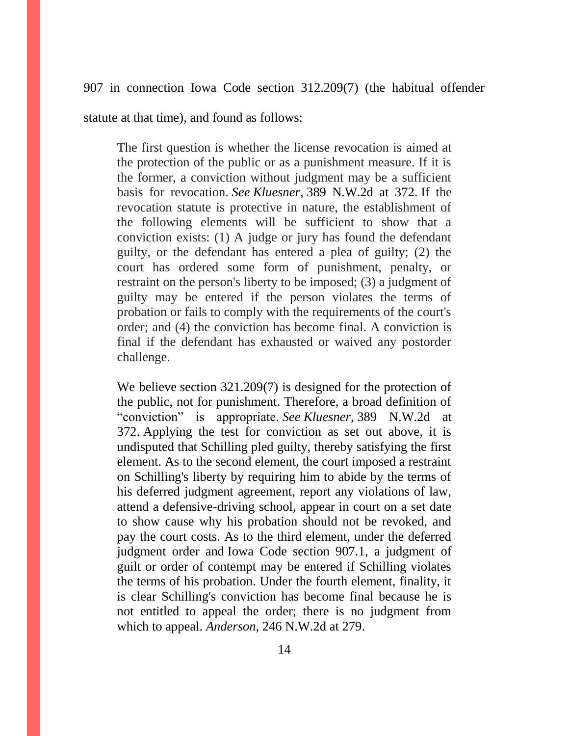907 in connection Iowa Code section 312.209(7) (the habitual offender

statute at that time), and found as follows:

The first question is whether the license revocation is aimed at the protection of the public or as a punishment measure. If it is the former, a conviction without judgment may be a sufficient basis for revocation. *See Kluesner,* [389 N.W.2d at 372.](https://1.next.westlaw.com/Link/Document/FullText?findType=Y&serNum=1986133945&pubNum=595&originatingDoc=I598a14abff2311d983e7e9deff98dc6f&refType=RP&fi=co_pp_sp_595_372&originationContext=document&transitionType=DocumentItem&contextData=(sc.Search)#co_pp_sp_595_372) If the revocation statute is protective in nature, the establishment of the following elements will be sufficient to show that a conviction exists: (1) A judge or jury has found the defendant guilty, or the defendant has entered a plea of guilty; (2) the court has ordered some form of punishment, penalty, or restraint on the person's liberty to be imposed; (3) a judgment of guilty may be entered if the person violates the terms of probation or fails to comply with the requirements of the court's order; and (4) the conviction has become final. A conviction is final if the defendant has exhausted or waived any postorder challenge.

We believe [section 321.209\(](https://1.next.westlaw.com/Link/Document/FullText?findType=L&pubNum=1000256&cite=IASTS321.209&originatingDoc=I598a14abff2311d983e7e9deff98dc6f&refType=LQ&originationContext=document&transitionType=DocumentItem&contextData=(sc.Search))7) is designed for the protection of the public, not for punishment. Therefore, a broad definition of "conviction" is appropriate. *See [Kluesner,](https://1.next.westlaw.com/Link/Document/FullText?findType=Y&serNum=1986133945&pubNum=595&originatingDoc=I598a14abff2311d983e7e9deff98dc6f&refType=RP&fi=co_pp_sp_595_372&originationContext=document&transitionType=DocumentItem&contextData=(sc.Search)#co_pp_sp_595_372)* 389 N.W.2d at [372.](https://1.next.westlaw.com/Link/Document/FullText?findType=Y&serNum=1986133945&pubNum=595&originatingDoc=I598a14abff2311d983e7e9deff98dc6f&refType=RP&fi=co_pp_sp_595_372&originationContext=document&transitionType=DocumentItem&contextData=(sc.Search)#co_pp_sp_595_372) Applying the test for conviction as set out above, it is undisputed that Schilling pled guilty, thereby satisfying the first element. As to the second element, the court imposed a restraint on Schilling's liberty by requiring him to abide by the terms of his deferred judgment agreement, report any violations of law, attend a defensive-driving school, appear in court on a set date to show cause why his probation should not be revoked, and pay the court costs. As to the third element, under the deferred judgment order and [Iowa Code section 907.1,](https://1.next.westlaw.com/Link/Document/FullText?findType=L&pubNum=1000256&cite=IASTS907.1&originatingDoc=I598a14abff2311d983e7e9deff98dc6f&refType=LQ&originationContext=document&transitionType=DocumentItem&contextData=(sc.Search)) a judgment of guilt or order of contempt may be entered if Schilling violates the terms of his probation. Under the fourth element, finality, it is clear Schilling's conviction has become final because he is not entitled to appeal the order; there is no judgment from which to appeal. *Anderson,* [246 N.W.2d at 279.](https://1.next.westlaw.com/Link/Document/FullText?findType=Y&serNum=1976132472&pubNum=595&originatingDoc=I598a14abff2311d983e7e9deff98dc6f&refType=RP&fi=co_pp_sp_595_279&originationContext=document&transitionType=DocumentItem&contextData=(sc.Search)#co_pp_sp_595_279)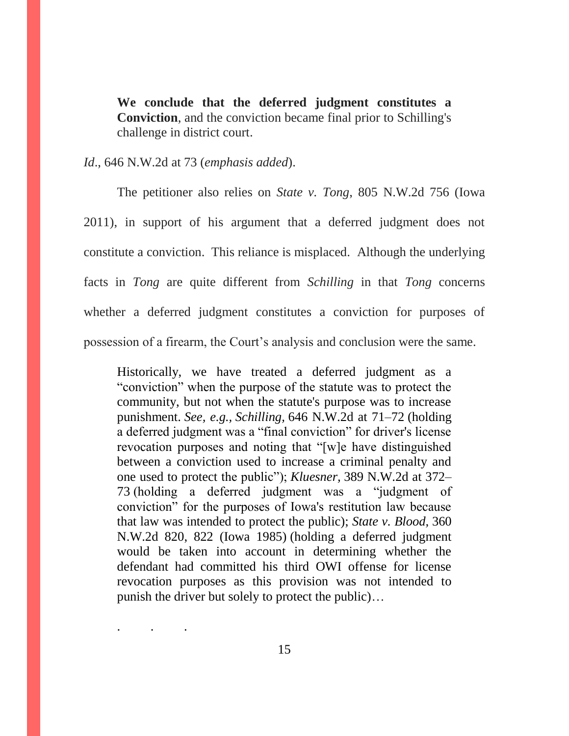**We conclude that the deferred judgment constitutes a Conviction**, and the conviction became final prior to Schilling's challenge in district court.

*Id*., 646 N.W.2d at 73 (*emphasis added*).

. . .

The petitioner also relies on *State v. Tong*, 805 N.W.2d 756 (Iowa 2011), in support of his argument that a deferred judgment does not constitute a conviction. This reliance is misplaced. Although the underlying facts in *Tong* are quite different from *Schilling* in that *Tong* concerns whether a deferred judgment constitutes a conviction for purposes of possession of a firearm, the Court's analysis and conclusion were the same.

Historically, we have treated a deferred judgment as a "conviction" when the purpose of the statute was to protect the community, but not when the statute's purpose was to increase punishment. *See, e.g., Schilling,* [646 N.W.2d at 71–72](https://1.next.westlaw.com/Link/Document/FullText?findType=Y&serNum=2002365147&pubNum=595&originatingDoc=Ibd6c0290fbf011e08b448cf533780ea2&refType=RP&fi=co_pp_sp_595_71&originationContext=document&transitionType=DocumentItem&contextData=(sc.Search)#co_pp_sp_595_71) (holding a deferred judgment was a "final conviction" for driver's license revocation purposes and noting that "[w]e have distinguished between a conviction used to increase a criminal penalty and one used to protect the public"); *Kluesner,* [389 N.W.2d at 372–](https://1.next.westlaw.com/Link/Document/FullText?findType=Y&serNum=1986133945&pubNum=595&originatingDoc=Ibd6c0290fbf011e08b448cf533780ea2&refType=RP&fi=co_pp_sp_595_372&originationContext=document&transitionType=DocumentItem&contextData=(sc.Search)#co_pp_sp_595_372) [73](https://1.next.westlaw.com/Link/Document/FullText?findType=Y&serNum=1986133945&pubNum=595&originatingDoc=Ibd6c0290fbf011e08b448cf533780ea2&refType=RP&fi=co_pp_sp_595_372&originationContext=document&transitionType=DocumentItem&contextData=(sc.Search)#co_pp_sp_595_372) (holding a deferred judgment was a "judgment of conviction" for the purposes of Iowa's restitution law because that law was intended to protect the public); *[State v. Blood,](https://1.next.westlaw.com/Link/Document/FullText?findType=Y&serNum=1985102958&pubNum=595&originatingDoc=Ibd6c0290fbf011e08b448cf533780ea2&refType=RP&fi=co_pp_sp_595_822&originationContext=document&transitionType=DocumentItem&contextData=(sc.Search)#co_pp_sp_595_822)* 360 [N.W.2d 820, 822 \(Iowa 1985\)](https://1.next.westlaw.com/Link/Document/FullText?findType=Y&serNum=1985102958&pubNum=595&originatingDoc=Ibd6c0290fbf011e08b448cf533780ea2&refType=RP&fi=co_pp_sp_595_822&originationContext=document&transitionType=DocumentItem&contextData=(sc.Search)#co_pp_sp_595_822) (holding a deferred judgment would be taken into account in determining whether the defendant had committed his third OWI offense for license revocation purposes as this provision was not intended to punish the driver but solely to protect the public)…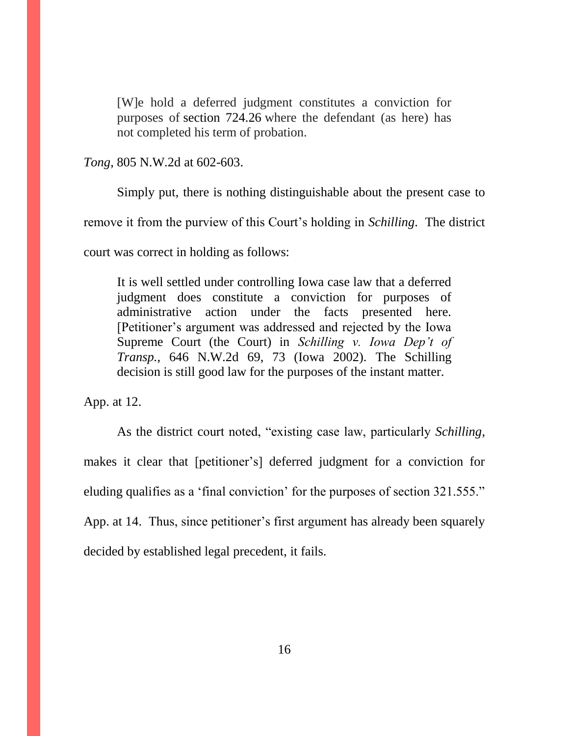[W]e hold a deferred judgment constitutes a conviction for purposes of [section 724.26](https://1.next.westlaw.com/Link/Document/FullText?findType=L&pubNum=1000256&cite=IASTS724.26&originatingDoc=Ibd6c0290fbf011e08b448cf533780ea2&refType=LQ&originationContext=document&transitionType=DocumentItem&contextData=(sc.Search)) where the defendant (as here) has not completed his term of probation.

*Tong*, 805 N.W.2d at 602-603.

Simply put, there is nothing distinguishable about the present case to remove it from the purview of this Court's holding in *Schilling*. The district court was correct in holding as follows:

It is well settled under controlling Iowa case law that a deferred judgment does constitute a conviction for purposes of administrative action under the facts presented here. [Petitioner's argument was addressed and rejected by the Iowa Supreme Court (the Court) in *Schilling v. Iowa Dep't of Transp.*, 646 N.W.2d 69, 73 (Iowa 2002). The Schilling decision is still good law for the purposes of the instant matter.

App. at 12.

As the district court noted, "existing case law, particularly *Schilling*, makes it clear that [petitioner's] deferred judgment for a conviction for eluding qualifies as a 'final conviction' for the purposes of section 321.555." App. at 14. Thus, since petitioner's first argument has already been squarely decided by established legal precedent, it fails.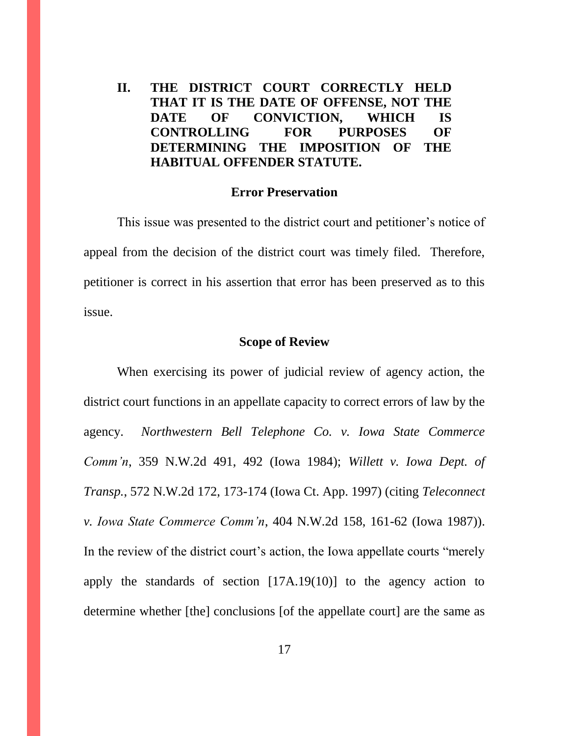**II. THE DISTRICT COURT CORRECTLY HELD THAT IT IS THE DATE OF OFFENSE, NOT THE DATE OF CONVICTION, WHICH IS CONTROLLING FOR PURPOSES OF DETERMINING THE IMPOSITION OF THE HABITUAL OFFENDER STATUTE.**

#### **Error Preservation**

This issue was presented to the district court and petitioner's notice of appeal from the decision of the district court was timely filed. Therefore, petitioner is correct in his assertion that error has been preserved as to this issue.

#### **Scope of Review**

When exercising its power of judicial review of agency action, the district court functions in an appellate capacity to correct errors of law by the agency. *Northwestern Bell Telephone Co. v. Iowa State Commerce Comm'n*, 359 N.W.2d 491, 492 (Iowa 1984); *Willett v. Iowa Dept. of Transp.*, 572 N.W.2d 172, 173-174 (Iowa Ct. App. 1997) (citing *Teleconnect v. Iowa State Commerce Comm'n*, 404 N.W.2d 158, 161-62 (Iowa 1987)). In the review of the district court's action, the Iowa appellate courts "merely apply the standards of section [17A.19(10)] to the agency action to determine whether [the] conclusions [of the appellate court] are the same as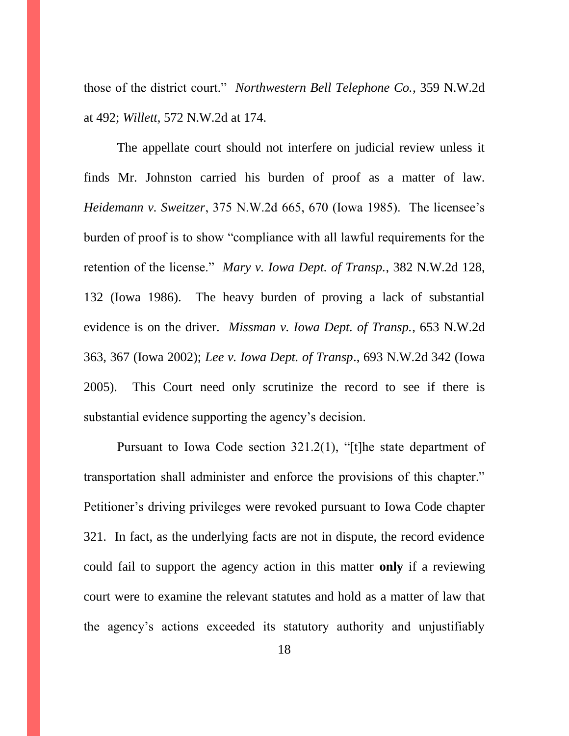those of the district court." *Northwestern Bell Telephone Co.*, 359 N.W.2d at 492; *Willett*, 572 N.W.2d at 174.

The appellate court should not interfere on judicial review unless it finds Mr. Johnston carried his burden of proof as a matter of law. *Heidemann v. Sweitzer*, 375 N.W.2d 665, 670 (Iowa 1985). The licensee's burden of proof is to show "compliance with all lawful requirements for the retention of the license." *Mary v. Iowa Dept. of Transp.*, 382 N.W.2d 128, 132 (Iowa 1986). The heavy burden of proving a lack of substantial evidence is on the driver. *Missman v. Iowa Dept. of Transp.*, 653 N.W.2d 363, 367 (Iowa 2002); *Lee v. Iowa Dept. of Transp*., 693 N.W.2d 342 (Iowa 2005).This Court need only scrutinize the record to see if there is substantial evidence supporting the agency's decision.

Pursuant to Iowa Code section 321.2(1), "[t]he state department of transportation shall administer and enforce the provisions of this chapter." Petitioner's driving privileges were revoked pursuant to Iowa Code chapter 321. In fact, as the underlying facts are not in dispute, the record evidence could fail to support the agency action in this matter **only** if a reviewing court were to examine the relevant statutes and hold as a matter of law that the agency's actions exceeded its statutory authority and unjustifiably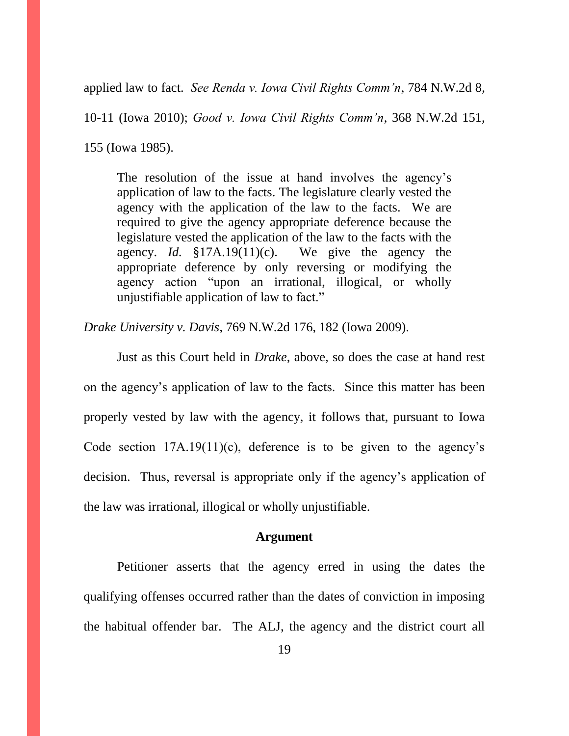applied law to fact. *See Renda v. Iowa Civil Rights Comm'n*, 784 N.W.2d 8,

10-11 (Iowa 2010); *Good v. Iowa Civil Rights Comm'n*, 368 N.W.2d 151,

155 (Iowa 1985).

The resolution of the issue at hand involves the agency's application of law to the facts. The legislature clearly vested the agency with the application of the law to the facts. We are required to give the agency appropriate deference because the legislature vested the application of the law to the facts with the agency. *Id.* §17A.19(11)(c). We give the agency the appropriate deference by only reversing or modifying the agency action "upon an irrational, illogical, or wholly unjustifiable application of law to fact."

*Drake University v. Davis*, 769 N.W.2d 176, 182 (Iowa 2009).

Just as this Court held in *Drake*, above, so does the case at hand rest on the agency's application of law to the facts. Since this matter has been properly vested by law with the agency, it follows that, pursuant to Iowa Code section  $17A.19(11)(c)$ , deference is to be given to the agency's decision. Thus, reversal is appropriate only if the agency's application of the law was irrational, illogical or wholly unjustifiable.

### **Argument**

Petitioner asserts that the agency erred in using the dates the qualifying offenses occurred rather than the dates of conviction in imposing the habitual offender bar. The ALJ, the agency and the district court all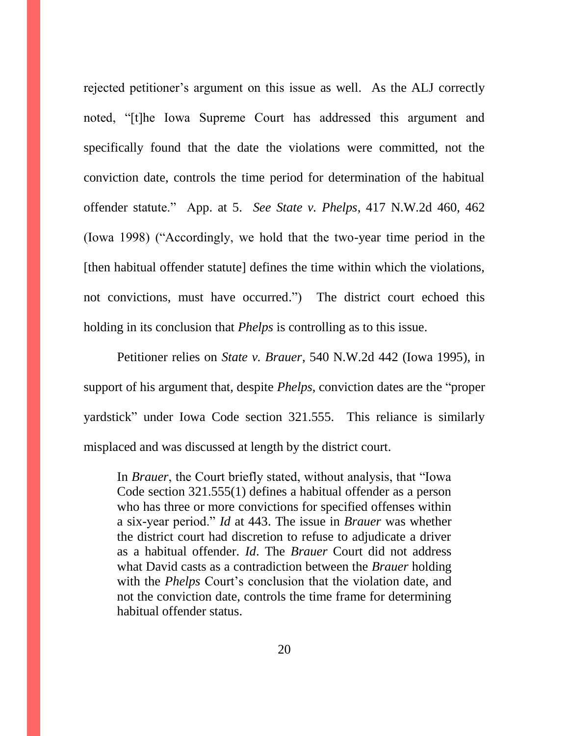rejected petitioner's argument on this issue as well. As the ALJ correctly noted, "[t]he Iowa Supreme Court has addressed this argument and specifically found that the date the violations were committed, not the conviction date, controls the time period for determination of the habitual offender statute." App. at 5. *See State v. Phelps*, 417 N.W.2d 460, 462 (Iowa 1998) ("Accordingly, we hold that the two-year time period in the [then habitual offender statute] defines the time within which the violations, not convictions, must have occurred.") The district court echoed this holding in its conclusion that *Phelps* is controlling as to this issue.

Petitioner relies on *State v. Brauer*, 540 N.W.2d 442 (Iowa 1995), in support of his argument that, despite *Phelps*, conviction dates are the "proper yardstick" under Iowa Code section 321.555. This reliance is similarly misplaced and was discussed at length by the district court.

In *Brauer*, the Court briefly stated, without analysis, that "Iowa Code section 321.555(1) defines a habitual offender as a person who has three or more convictions for specified offenses within a six-year period." *Id* at 443. The issue in *Brauer* was whether the district court had discretion to refuse to adjudicate a driver as a habitual offender. *Id*. The *Brauer* Court did not address what David casts as a contradiction between the *Brauer* holding with the *Phelps* Court's conclusion that the violation date, and not the conviction date, controls the time frame for determining habitual offender status.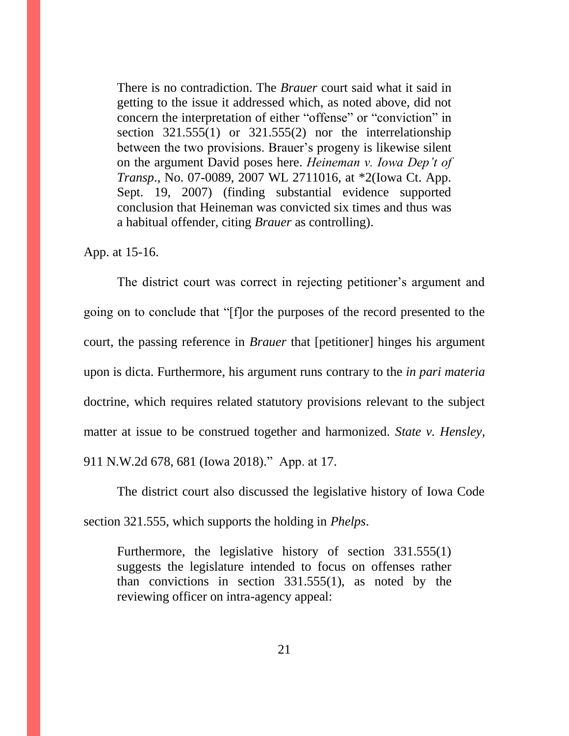There is no contradiction. The *Brauer* court said what it said in getting to the issue it addressed which, as noted above, did not concern the interpretation of either "offense" or "conviction" in section 321.555(1) or 321.555(2) nor the interrelationship between the two provisions. Brauer's progeny is likewise silent on the argument David poses here. *Heineman v. Iowa Dep't of Transp*., No. 07-0089, 2007 WL 2711016, at \*2(Iowa Ct. App. Sept. 19, 2007) (finding substantial evidence supported conclusion that Heineman was convicted six times and thus was a habitual offender, citing *Brauer* as controlling).

App. at 15-16.

The district court was correct in rejecting petitioner's argument and going on to conclude that "[f]or the purposes of the record presented to the court, the passing reference in *Brauer* that [petitioner] hinges his argument upon is dicta. Furthermore, his argument runs contrary to the *in pari materia*  doctrine, which requires related statutory provisions relevant to the subject matter at issue to be construed together and harmonized. *State v. Hensley*, 911 N.W.2d 678, 681 (Iowa 2018)." App. at 17.

The district court also discussed the legislative history of Iowa Code section 321.555, which supports the holding in *Phelps*.

Furthermore, the legislative history of section 331.555(1) suggests the legislature intended to focus on offenses rather than convictions in section 331.555(1), as noted by the reviewing officer on intra-agency appeal: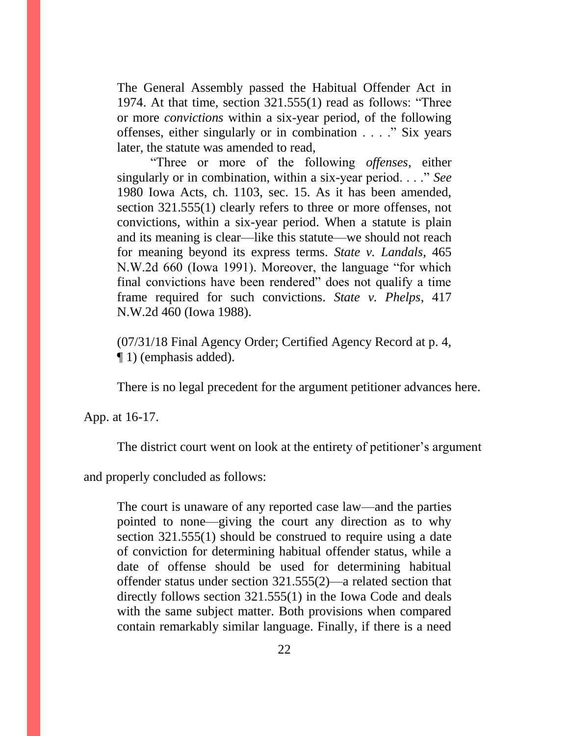The General Assembly passed the Habitual Offender Act in 1974. At that time, section 321.555(1) read as follows: "Three or more *convictions* within a six-year period, of the following offenses, either singularly or in combination . . . ." Six years later, the statute was amended to read,

"Three or more of the following *offenses*, either singularly or in combination, within a six-year period. . . ." *See*  1980 Iowa Acts, ch. 1103, sec. 15. As it has been amended, section 321.555(1) clearly refers to three or more offenses, not convictions, within a six-year period. When a statute is plain and its meaning is clear—like this statute—we should not reach for meaning beyond its express terms. *State v. Landals*, 465 N.W.2d 660 (Iowa 1991). Moreover, the language "for which final convictions have been rendered" does not qualify a time frame required for such convictions. *State v. Phelps*, 417 N.W.2d 460 (Iowa 1988).

(07/31/18 Final Agency Order; Certified Agency Record at p. 4, ¶ 1) (emphasis added).

There is no legal precedent for the argument petitioner advances here.

App. at 16-17.

The district court went on look at the entirety of petitioner's argument

and properly concluded as follows:

The court is unaware of any reported case law—and the parties pointed to none—giving the court any direction as to why section 321.555(1) should be construed to require using a date of conviction for determining habitual offender status, while a date of offense should be used for determining habitual offender status under section 321.555(2)—a related section that directly follows section 321.555(1) in the Iowa Code and deals with the same subject matter. Both provisions when compared contain remarkably similar language. Finally, if there is a need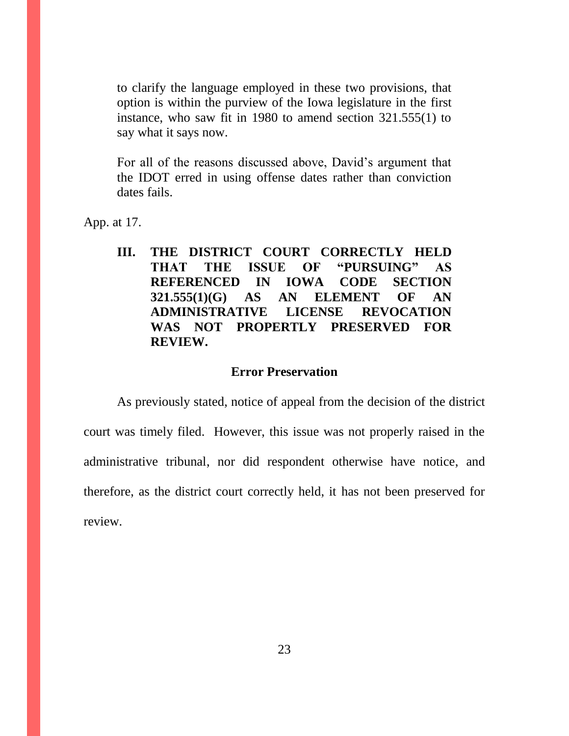to clarify the language employed in these two provisions, that option is within the purview of the Iowa legislature in the first instance, who saw fit in 1980 to amend section 321.555(1) to say what it says now.

For all of the reasons discussed above, David's argument that the IDOT erred in using offense dates rather than conviction dates fails.

App. at 17.

**III. THE DISTRICT COURT CORRECTLY HELD THAT THE ISSUE OF "PURSUING" AS REFERENCED IN IOWA CODE SECTION 321.555(1)(G) AS AN ELEMENT OF AN ADMINISTRATIVE LICENSE REVOCATION WAS NOT PROPERTLY PRESERVED FOR REVIEW.**

### **Error Preservation**

As previously stated, notice of appeal from the decision of the district court was timely filed. However, this issue was not properly raised in the administrative tribunal, nor did respondent otherwise have notice, and therefore, as the district court correctly held, it has not been preserved for review.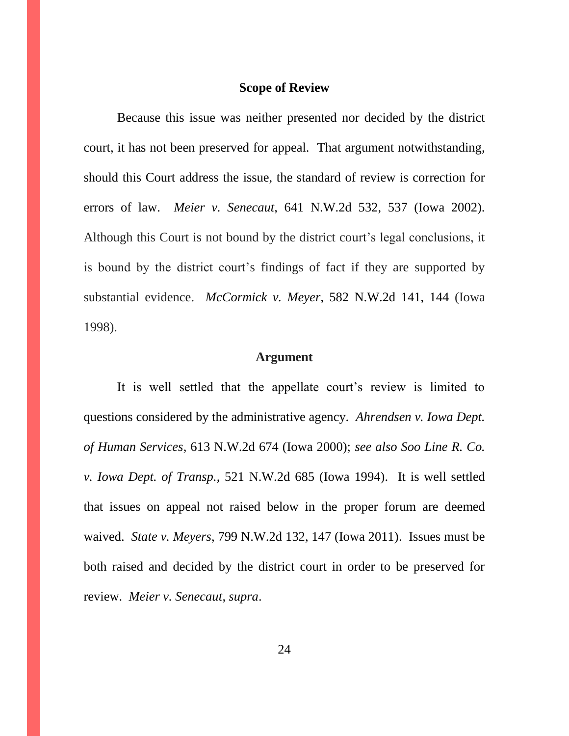### **Scope of Review**

Because this issue was neither presented nor decided by the district court, it has not been preserved for appeal. That argument notwithstanding, should this Court address the issue, the standard of review is correction for errors of law. *Meier v. Senecaut*, 641 N.W.2d 532, 537 (Iowa 2002). Although this Court is not bound by the district court's legal conclusions, it is bound by the district court's findings of fact if they are supported by substantial evidence. *McCormick v. Meyer*, [582 N.W.2d 141, 144](https://a.next.westlaw.com/Link/Document/FullText?findType=Y&serNum=1998159906&pubNum=595&originatingDoc=I448aac58ff2211d98ac8f235252e36df&refType=RP&fi=co_pp_sp_595_144&originationContext=document&transitionType=DocumentItem&contextData=(sc.DocLink)#co_pp_sp_595_144) (Iowa 1998).

#### **Argument**

It is well settled that the appellate court's review is limited to questions considered by the administrative agency. *Ahrendsen v. Iowa Dept. of Human Services*, 613 N.W.2d 674 (Iowa 2000); *see also Soo Line R. Co. v. Iowa Dept. of Transp.*, 521 N.W.2d 685 (Iowa 1994). It is well settled that issues on appeal not raised below in the proper forum are deemed waived. *State v. Meyers*, 799 N.W.2d 132, 147 (Iowa 2011). Issues must be both raised and decided by the district court in order to be preserved for review. *Meier v. Senecaut*, *supra*.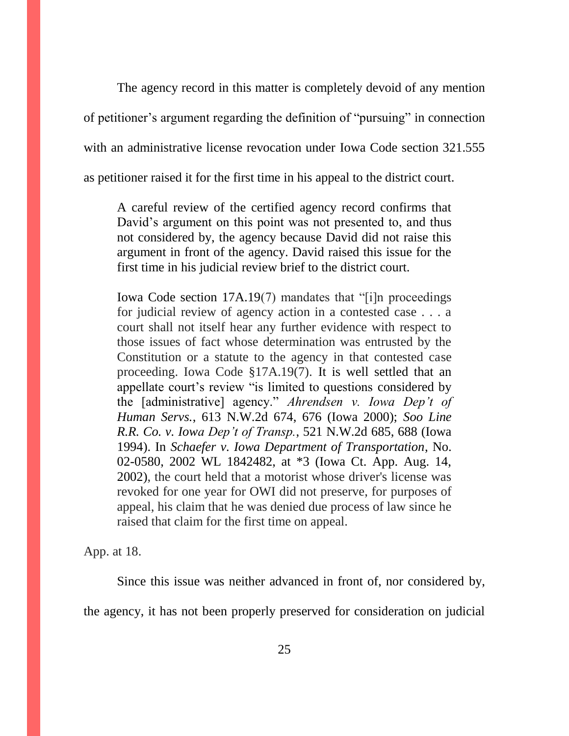The agency record in this matter is completely devoid of any mention of petitioner's argument regarding the definition of "pursuing" in connection with an administrative license revocation under Iowa Code section 321.555 as petitioner raised it for the first time in his appeal to the district court.

A careful review of the certified agency record confirms that David's argument on this point was not presented to, and thus not considered by, the agency because David did not raise this argument in front of the agency. David raised this issue for the first time in his judicial review brief to the district court.

Iowa Code section 17A.19(7) mandates that "[i]n proceedings for judicial review of agency action in a contested case . . . a court shall not itself hear any further evidence with respect to those issues of fact whose determination was entrusted by the Constitution or a statute to the agency in that contested case proceeding. Iowa Code §17A.19(7). It is well settled that an appellate court's review "is limited to questions considered by the [administrative] agency." *Ahrendsen v. Iowa Dep't of Human Servs.*, 613 N.W.2d 674, 676 (Iowa 2000); *Soo Line R.R. Co. v. Iowa Dep't of Transp.*, 521 N.W.2d 685, 688 (Iowa 1994). In *Schaefer v. Iowa Department of Transportation*, No. 02-0580, 2002 WL 1842482, at \*3 (Iowa Ct. App. Aug. 14, 2002), the court held that a motorist whose driver's license was revoked for one year for OWI did not preserve, for purposes of appeal, his claim that he was denied due process of law since he raised that claim for the first time on appeal.

App. at 18.

Since this issue was neither advanced in front of, nor considered by,

the agency, it has not been properly preserved for consideration on judicial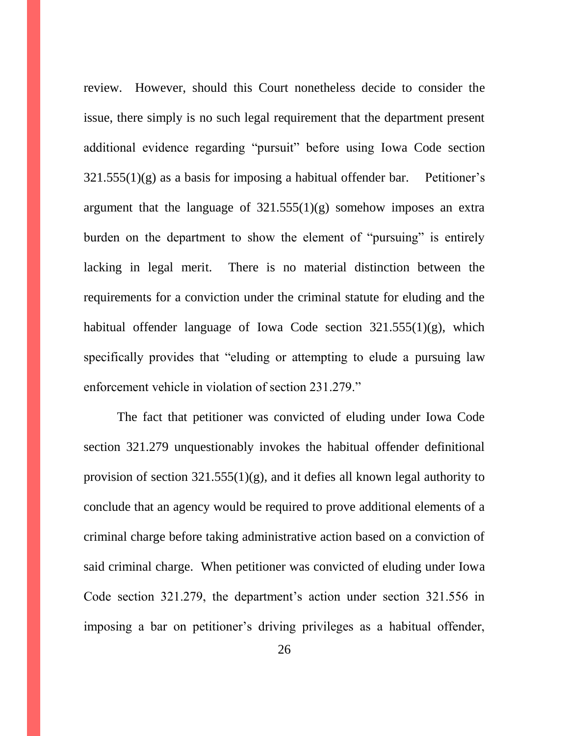review. However, should this Court nonetheless decide to consider the issue, there simply is no such legal requirement that the department present additional evidence regarding "pursuit" before using Iowa Code section  $321.555(1)(g)$  as a basis for imposing a habitual offender bar. Petitioner's argument that the language of  $321.555(1)(g)$  somehow imposes an extra burden on the department to show the element of "pursuing" is entirely lacking in legal merit. There is no material distinction between the requirements for a conviction under the criminal statute for eluding and the habitual offender language of Iowa Code section 321.555(1)(g), which specifically provides that "eluding or attempting to elude a pursuing law enforcement vehicle in violation of section 231.279."

The fact that petitioner was convicted of eluding under Iowa Code section 321.279 unquestionably invokes the habitual offender definitional provision of section  $321.555(1)(g)$ , and it defies all known legal authority to conclude that an agency would be required to prove additional elements of a criminal charge before taking administrative action based on a conviction of said criminal charge. When petitioner was convicted of eluding under Iowa Code section 321.279, the department's action under section 321.556 in imposing a bar on petitioner's driving privileges as a habitual offender,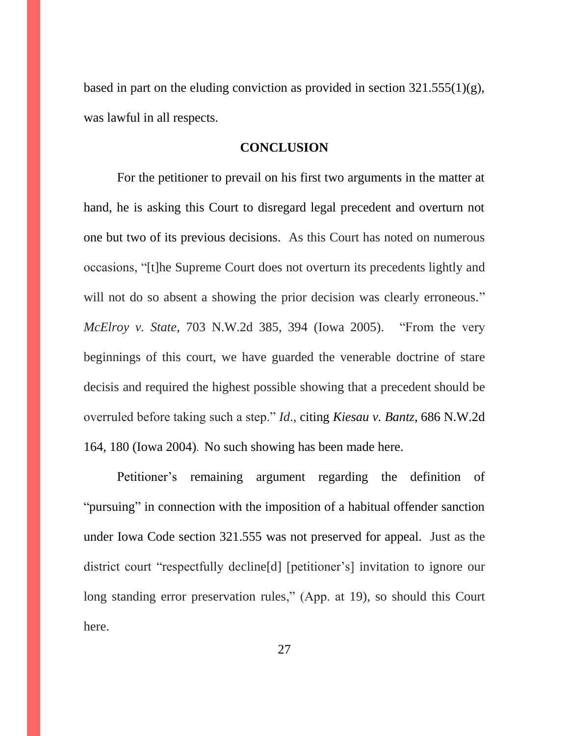based in part on the eluding conviction as provided in section  $321.555(1)(g)$ , was lawful in all respects.

#### **CONCLUSION**

For the petitioner to prevail on his first two arguments in the matter at hand, he is asking this Court to disregard legal precedent and overturn not one but two of its previous decisions. As this Court has noted on numerous occasions, "[t]he Supreme Court does not overturn its precedents lightly and will not do so absent a showing the prior decision was clearly erroneous." *McElroy v. State*, 703 N.W.2d 385, 394 (Iowa 2005). "From the very beginnings of this court, we have guarded the venerable doctrine of stare decisis and required the highest possible showing that a precedent should be overruled before taking such a step." *Id*., citing *[Kiesau v. Bantz](https://1.next.westlaw.com/Link/Document/FullText?findType=Y&serNum=2004967182&pubNum=0000595&originatingDoc=I3bd0637f2b7d11daaea49302b5f61a35&refType=RP&fi=co_pp_sp_595_180&originationContext=document&transitionType=DocumentItem&contextData=(sc.Search)#co_pp_sp_595_180)*, 686 N.W.2d [164, 180 \(Iowa 2004\)](https://1.next.westlaw.com/Link/Document/FullText?findType=Y&serNum=2004967182&pubNum=0000595&originatingDoc=I3bd0637f2b7d11daaea49302b5f61a35&refType=RP&fi=co_pp_sp_595_180&originationContext=document&transitionType=DocumentItem&contextData=(sc.Search)#co_pp_sp_595_180). No such showing has been made here.

Petitioner's remaining argument regarding the definition of "pursuing" in connection with the imposition of a habitual offender sanction under Iowa Code section 321.555 was not preserved for appeal. Just as the district court "respectfully decline[d] [petitioner's] invitation to ignore our long standing error preservation rules," (App. at 19), so should this Court here.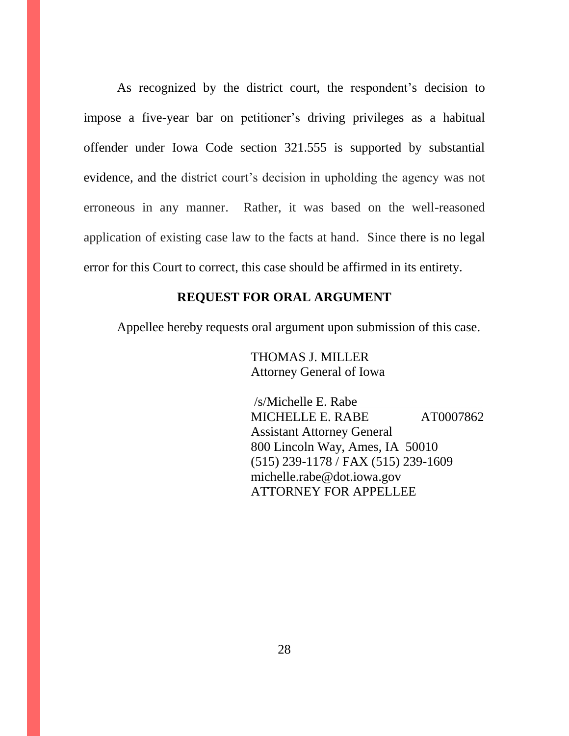As recognized by the district court, the respondent's decision to impose a five-year bar on petitioner's driving privileges as a habitual offender under Iowa Code section 321.555 is supported by substantial evidence, and the district court's decision in upholding the agency was not erroneous in any manner. Rather, it was based on the well-reasoned application of existing case law to the facts at hand. Since there is no legal error for this Court to correct, this case should be affirmed in its entirety.

### **REQUEST FOR ORAL ARGUMENT**

Appellee hereby requests oral argument upon submission of this case.

 THOMAS J. MILLER Attorney General of Iowa

 /s/Michelle E. Rabe MICHELLE E. RABE AT0007862 Assistant Attorney General 800 Lincoln Way, Ames, IA 50010 (515) 239-1178 / FAX (515) 239-1609 michelle.rabe@dot.iowa.gov ATTORNEY FOR APPELLEE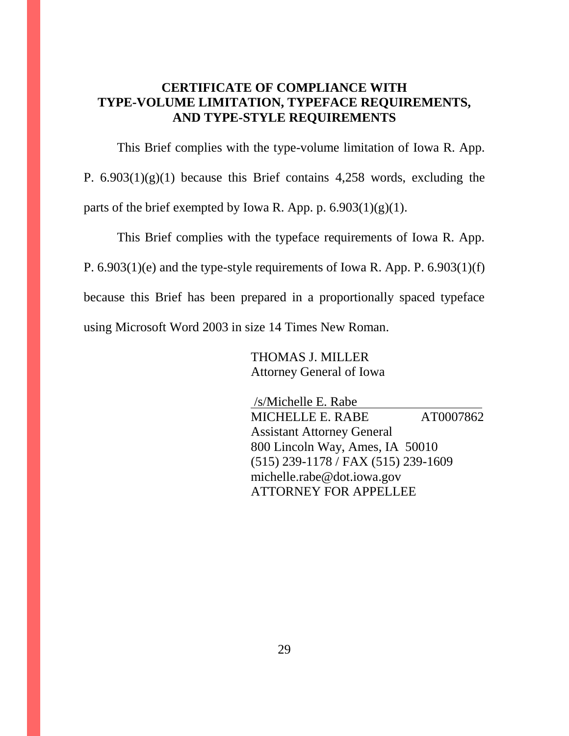### **CERTIFICATE OF COMPLIANCE WITH TYPE-VOLUME LIMITATION, TYPEFACE REQUIREMENTS, AND TYPE-STYLE REQUIREMENTS**

This Brief complies with the type-volume limitation of Iowa R. App. P.  $6.903(1)(g)(1)$  because this Brief contains 4,258 words, excluding the parts of the brief exempted by Iowa R. App. p.  $6.903(1)(g)(1)$ .

This Brief complies with the typeface requirements of Iowa R. App. P. 6.903(1)(e) and the type-style requirements of Iowa R. App. P. 6.903(1)(f) because this Brief has been prepared in a proportionally spaced typeface using Microsoft Word 2003 in size 14 Times New Roman.

> THOMAS J. MILLER Attorney General of Iowa

 /s/Michelle E. Rabe MICHELLE E. RABE AT0007862 Assistant Attorney General 800 Lincoln Way, Ames, IA 50010 (515) 239-1178 / FAX (515) 239-1609 michelle.rabe@dot.iowa.gov ATTORNEY FOR APPELLEE